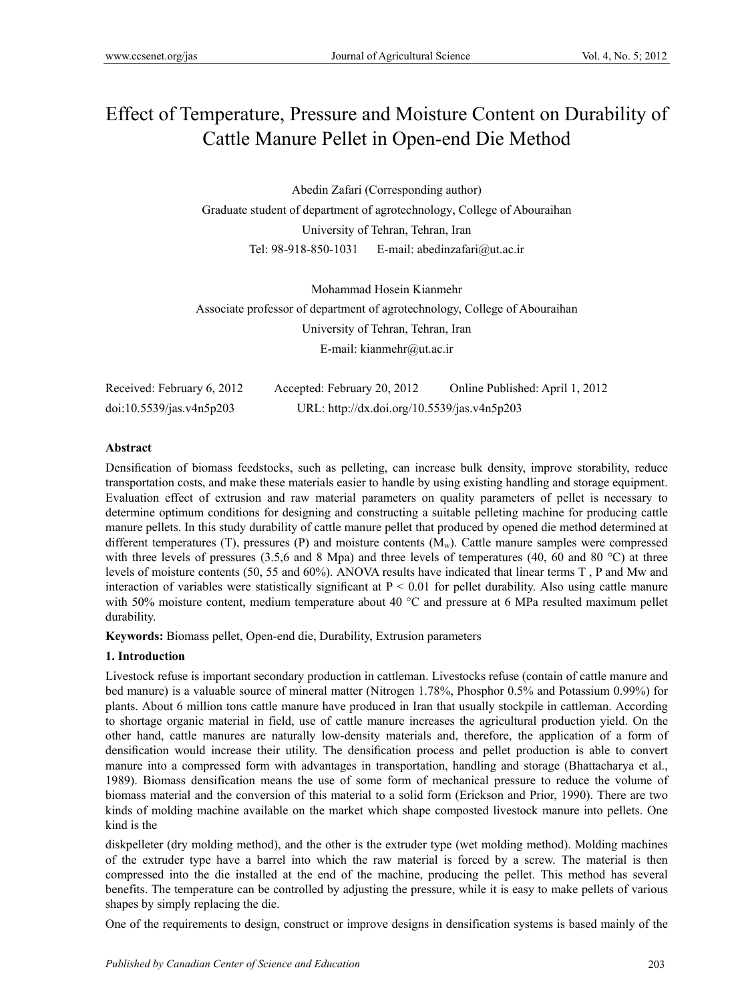# Effect of Temperature, Pressure and Moisture Content on Durability of Cattle Manure Pellet in Open-end Die Method

Abedin Zafari (Corresponding author) Graduate student of department of agrotechnology, College of Abouraihan University of Tehran, Tehran, Iran Tel: 98-918-850-1031 E-mail: abedinzafari@ut.ac.ir

Mohammad Hosein Kianmehr Associate professor of department of agrotechnology, College of Abouraihan University of Tehran, Tehran, Iran E-mail: kianmehr@ut.ac.ir

| Received: February 6, 2012 | Accepted: February 20, 2012                 | Online Published: April 1, 2012 |
|----------------------------|---------------------------------------------|---------------------------------|
| doi:10.5539/jas.v4n5p203   | URL: http://dx.doi.org/10.5539/jas.v4n5p203 |                                 |

## **Abstract**

Densification of biomass feedstocks, such as pelleting, can increase bulk density, improve storability, reduce transportation costs, and make these materials easier to handle by using existing handling and storage equipment. Evaluation effect of extrusion and raw material parameters on quality parameters of pellet is necessary to determine optimum conditions for designing and constructing a suitable pelleting machine for producing cattle manure pellets. In this study durability of cattle manure pellet that produced by opened die method determined at different temperatures (T), pressures (P) and moisture contents  $(M_w)$ . Cattle manure samples were compressed with three levels of pressures (3.5,6 and 8 Mpa) and three levels of temperatures (40, 60 and 80  $^{\circ}$ C) at three levels of moisture contents (50, 55 and 60%). ANOVA results have indicated that linear terms T , P and Mw and interaction of variables were statistically significant at  $P < 0.01$  for pellet durability. Also using cattle manure with 50% moisture content, medium temperature about 40  $^{\circ}$ C and pressure at 6 MPa resulted maximum pellet durability.

**Keywords:** Biomass pellet, Open-end die, Durability, Extrusion parameters

## **1. Introduction**

Livestock refuse is important secondary production in cattleman. Livestocks refuse (contain of cattle manure and bed manure) is a valuable source of mineral matter (Nitrogen 1.78%, Phosphor 0.5% and Potassium 0.99%) for plants. About 6 million tons cattle manure have produced in Iran that usually stockpile in cattleman. According to shortage organic material in field, use of cattle manure increases the agricultural production yield. On the other hand, cattle manures are naturally low-density materials and, therefore, the application of a form of densification would increase their utility. The densification process and pellet production is able to convert manure into a compressed form with advantages in transportation, handling and storage (Bhattacharya et al., 1989). Biomass densification means the use of some form of mechanical pressure to reduce the volume of biomass material and the conversion of this material to a solid form (Erickson and Prior, 1990). There are two kinds of molding machine available on the market which shape composted livestock manure into pellets. One kind is the

diskpelleter (dry molding method), and the other is the extruder type (wet molding method). Molding machines of the extruder type have a barrel into which the raw material is forced by a screw. The material is then compressed into the die installed at the end of the machine, producing the pellet. This method has several benefits. The temperature can be controlled by adjusting the pressure, while it is easy to make pellets of various shapes by simply replacing the die.

One of the requirements to design, construct or improve designs in densification systems is based mainly of the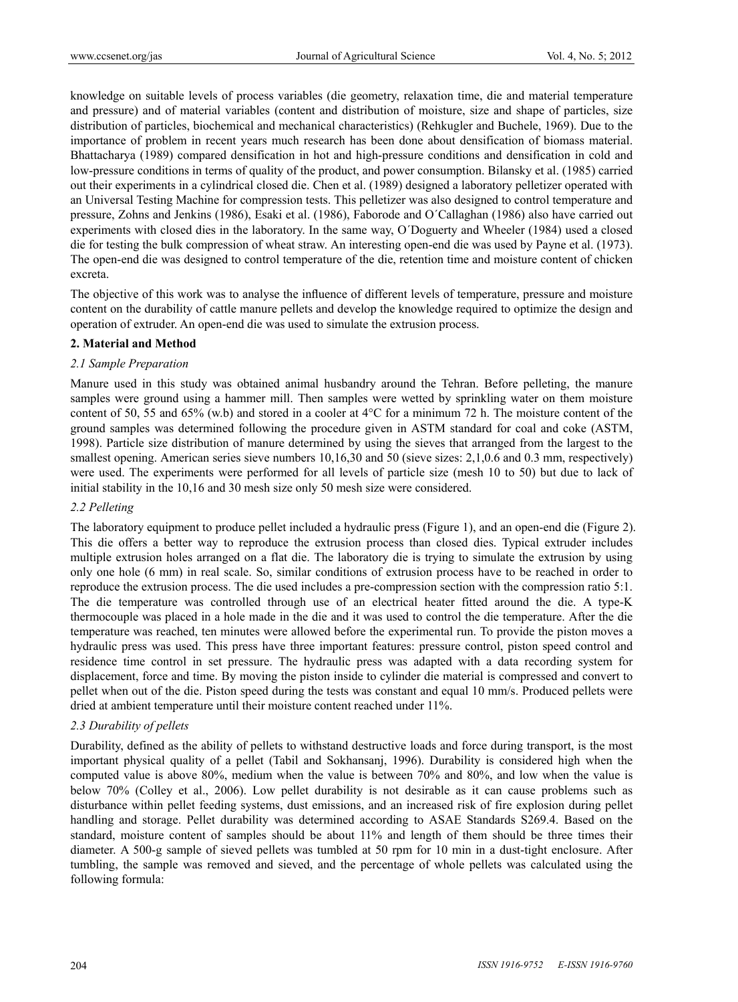knowledge on suitable levels of process variables (die geometry, relaxation time, die and material temperature and pressure) and of material variables (content and distribution of moisture, size and shape of particles, size distribution of particles, biochemical and mechanical characteristics) (Rehkugler and Buchele, 1969). Due to the importance of problem in recent years much research has been done about densification of biomass material. Bhattacharya (1989) compared densification in hot and high-pressure conditions and densification in cold and low-pressure conditions in terms of quality of the product, and power consumption. Bilansky et al. (1985) carried out their experiments in a cylindrical closed die. Chen et al. (1989) designed a laboratory pelletizer operated with an Universal Testing Machine for compression tests. This pelletizer was also designed to control temperature and pressure, Zohns and Jenkins (1986), Esaki et al. (1986), Faborode and O´Callaghan (1986) also have carried out experiments with closed dies in the laboratory. In the same way, O´Doguerty and Wheeler (1984) used a closed die for testing the bulk compression of wheat straw. An interesting open-end die was used by Payne et al. (1973). The open-end die was designed to control temperature of the die, retention time and moisture content of chicken excreta.

The objective of this work was to analyse the influence of different levels of temperature, pressure and moisture content on the durability of cattle manure pellets and develop the knowledge required to optimize the design and operation of extruder. An open-end die was used to simulate the extrusion process.

## **2. Material and Method**

#### *2.1 Sample Preparation*

Manure used in this study was obtained animal husbandry around the Tehran. Before pelleting, the manure samples were ground using a hammer mill. Then samples were wetted by sprinkling water on them moisture content of 50, 55 and 65% (w.b) and stored in a cooler at  $4^{\circ}$ C for a minimum 72 h. The moisture content of the ground samples was determined following the procedure given in ASTM standard for coal and coke (ASTM, 1998). Particle size distribution of manure determined by using the sieves that arranged from the largest to the smallest opening. American series sieve numbers 10,16,30 and 50 (sieve sizes: 2,1,0.6 and 0.3 mm, respectively) were used. The experiments were performed for all levels of particle size (mesh 10 to 50) but due to lack of initial stability in the 10,16 and 30 mesh size only 50 mesh size were considered.

## *2.2 Pelleting*

The laboratory equipment to produce pellet included a hydraulic press (Figure 1), and an open-end die (Figure 2). This die offers a better way to reproduce the extrusion process than closed dies. Typical extruder includes multiple extrusion holes arranged on a flat die. The laboratory die is trying to simulate the extrusion by using only one hole (6 mm) in real scale. So, similar conditions of extrusion process have to be reached in order to reproduce the extrusion process. The die used includes a pre-compression section with the compression ratio 5:1. The die temperature was controlled through use of an electrical heater fitted around the die. A type-K thermocouple was placed in a hole made in the die and it was used to control the die temperature. After the die temperature was reached, ten minutes were allowed before the experimental run. To provide the piston moves a hydraulic press was used. This press have three important features: pressure control, piston speed control and residence time control in set pressure. The hydraulic press was adapted with a data recording system for displacement, force and time. By moving the piston inside to cylinder die material is compressed and convert to pellet when out of the die. Piston speed during the tests was constant and equal 10 mm/s. Produced pellets were dried at ambient temperature until their moisture content reached under 11%.

#### *2.3 Durability of pellets*

Durability, defined as the ability of pellets to withstand destructive loads and force during transport, is the most important physical quality of a pellet (Tabil and Sokhansanj, 1996). Durability is considered high when the computed value is above 80%, medium when the value is between 70% and 80%, and low when the value is below 70% (Colley et al., 2006). Low pellet durability is not desirable as it can cause problems such as disturbance within pellet feeding systems, dust emissions, and an increased risk of fire explosion during pellet handling and storage. Pellet durability was determined according to ASAE Standards S269.4. Based on the standard, moisture content of samples should be about 11% and length of them should be three times their diameter. A 500-g sample of sieved pellets was tumbled at 50 rpm for 10 min in a dust-tight enclosure. After tumbling, the sample was removed and sieved, and the percentage of whole pellets was calculated using the following formula: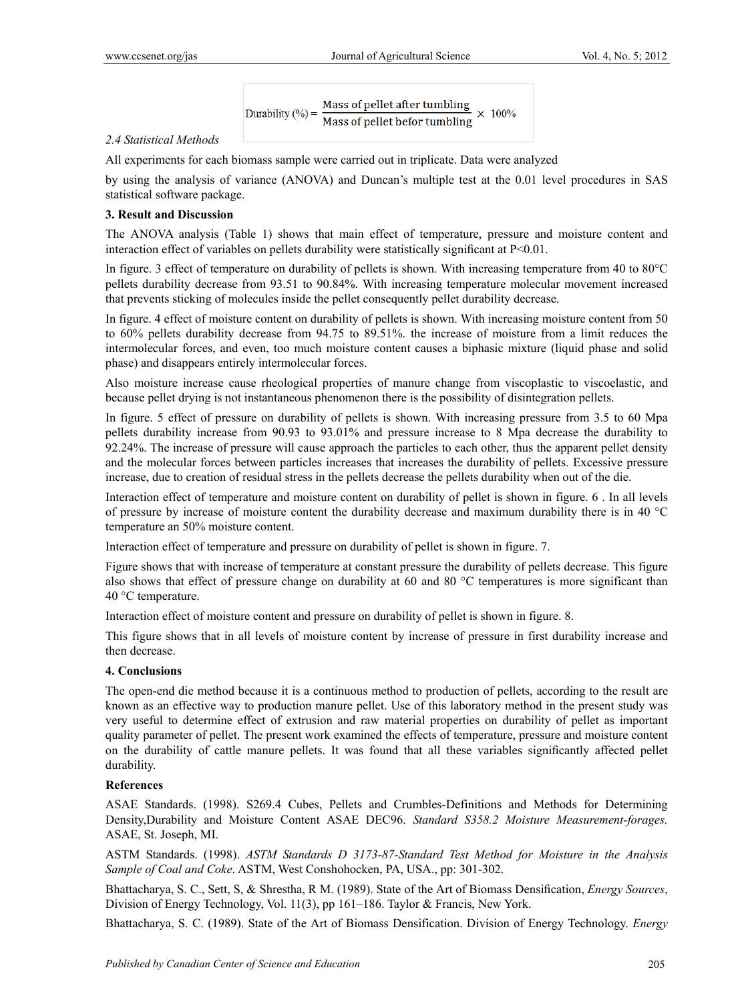Durability (%) =  $\frac{\text{Mass of pellet after tumbling}}{\text{Mass of pellet before tumbling}} \times 100\%$ 

## *2.4 Statistical Methods*

All experiments for each biomass sample were carried out in triplicate. Data were analyzed

by using the analysis of variance (ANOVA) and Duncan's multiple test at the 0.01 level procedures in SAS statistical software package.

## **3. Result and Discussion**

The ANOVA analysis (Table 1) shows that main effect of temperature, pressure and moisture content and interaction effect of variables on pellets durability were statistically significant at  $P<0.01$ .

In figure. 3 effect of temperature on durability of pellets is shown. With increasing temperature from 40 to 80°C pellets durability decrease from 93.51 to 90.84%. With increasing temperature molecular movement increased that prevents sticking of molecules inside the pellet consequently pellet durability decrease.

In figure. 4 effect of moisture content on durability of pellets is shown. With increasing moisture content from 50 to 60% pellets durability decrease from 94.75 to 89.51%. the increase of moisture from a limit reduces the intermolecular forces, and even, too much moisture content causes a biphasic mixture (liquid phase and solid phase) and disappears entirely intermolecular forces.

Also moisture increase cause rheological properties of manure change from viscoplastic to viscoelastic, and because pellet drying is not instantaneous phenomenon there is the possibility of disintegration pellets.

In figure. 5 effect of pressure on durability of pellets is shown. With increasing pressure from 3.5 to 60 Mpa pellets durability increase from 90.93 to 93.01% and pressure increase to 8 Mpa decrease the durability to 92.24%. The increase of pressure will cause approach the particles to each other, thus the apparent pellet density and the molecular forces between particles increases that increases the durability of pellets. Excessive pressure increase, due to creation of residual stress in the pellets decrease the pellets durability when out of the die.

Interaction effect of temperature and moisture content on durability of pellet is shown in figure. 6 . In all levels of pressure by increase of moisture content the durability decrease and maximum durability there is in 40 °C temperature an 50% moisture content.

Interaction effect of temperature and pressure on durability of pellet is shown in figure. 7.

Figure shows that with increase of temperature at constant pressure the durability of pellets decrease. This figure also shows that effect of pressure change on durability at 60 and 80 °C temperatures is more significant than 40 °C temperature.

Interaction effect of moisture content and pressure on durability of pellet is shown in figure. 8.

This figure shows that in all levels of moisture content by increase of pressure in first durability increase and then decrease.

## **4. Conclusions**

The open-end die method because it is a continuous method to production of pellets, according to the result are known as an effective way to production manure pellet. Use of this laboratory method in the present study was very useful to determine effect of extrusion and raw material properties on durability of pellet as important quality parameter of pellet. The present work examined the effects of temperature, pressure and moisture content on the durability of cattle manure pellets. It was found that all these variables significantly affected pellet durability.

## **References**

ASAE Standards. (1998). S269.4 Cubes, Pellets and Crumbles-Definitions and Methods for Determining Density,Durability and Moisture Content ASAE DEC96. *Standard S358.2 Moisture Measurement-forages.* ASAE, St. Joseph, MI.

ASTM Standards. (1998). *ASTM Standards D 3173-87-Standard Test Method for Moisture in the Analysis Sample of Coal and Coke*. ASTM, West Conshohocken, PA, USA., pp: 301-302.

Bhattacharya, S. C., Sett, S, & Shrestha, R M. (1989). State of the Art of Biomass Densification, *Energy Sources*, Division of Energy Technology, Vol. 11(3), pp 161–186. Taylor & Francis, New York.

Bhattacharya, S. C. (1989). State of the Art of Biomass Densification. Division of Energy Technology. *Energy*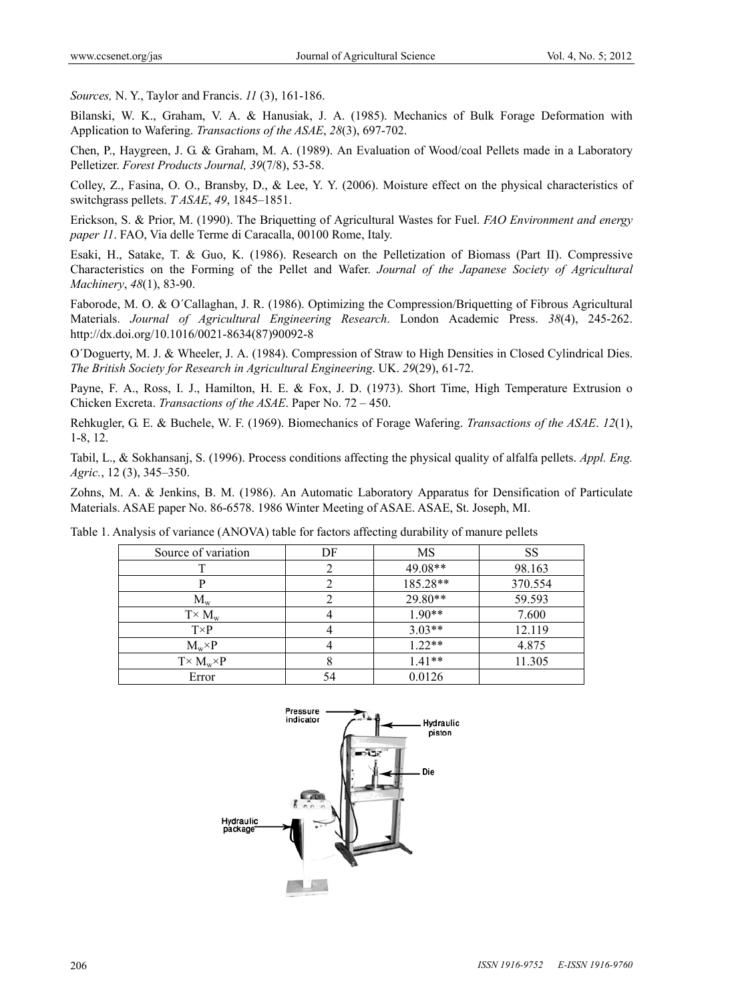*Sources,* N. Y., Taylor and Francis. *11* (3), 161-186.

Bilanski, W. K., Graham, V. A. & Hanusiak, J. A. (1985). Mechanics of Bulk Forage Deformation with Application to Wafering. *Transactions of the ASAE*, *28*(3), 697-702.

Chen, P., Haygreen, J. G. & Graham, M. A. (1989). An Evaluation of Wood/coal Pellets made in a Laboratory Pelletizer. *Forest Products Journal, 39*(7/8), 53-58.

Colley, Z., Fasina, O. O., Bransby, D., & Lee, Y. Y. (2006). Moisture effect on the physical characteristics of switchgrass pellets. *T ASAE*, *49*, 1845–1851.

Erickson, S. & Prior, M. (1990). The Briquetting of Agricultural Wastes for Fuel. *FAO Environment and energy paper 11*. FAO, Via delle Terme di Caracalla, 00100 Rome, Italy.

Esaki, H., Satake, T. & Guo, K. (1986). Research on the Pelletization of Biomass (Part II). Compressive Characteristics on the Forming of the Pellet and Wafer. *Journal of the Japanese Society of Agricultural Machinery*, *48*(1), 83-90.

Faborode, M. O. & O´Callaghan, J. R. (1986). Optimizing the Compression/Briquetting of Fibrous Agricultural Materials. *Journal of Agricultural Engineering Research*. London Academic Press. *38*(4), 245-262. http://dx.doi.org/10.1016/0021-8634(87)90092-8

O´Doguerty, M. J. & Wheeler, J. A. (1984). Compression of Straw to High Densities in Closed Cylindrical Dies. *The British Society for Research in Agricultural Engineering*. UK. *29*(29), 61-72.

Payne, F. A., Ross, I. J., Hamilton, H. E. & Fox, J. D. (1973). Short Time, High Temperature Extrusion o Chicken Excreta. *Transactions of the ASAE*. Paper No. 72 – 450.

Rehkugler, G. E. & Buchele, W. F. (1969). Biomechanics of Forage Wafering. *Transactions of the ASAE*. *12*(1), 1-8, 12.

Tabil, L., & Sokhansanj, S. (1996). Process conditions affecting the physical quality of alfalfa pellets. *Appl. Eng. Agric.*, 12 (3), 345–350.

Zohns, M. A. & Jenkins, B. M. (1986). An Automatic Laboratory Apparatus for Densification of Particulate Materials. ASAE paper No. 86-6578. 1986 Winter Meeting of ASAE. ASAE, St. Joseph, MI.

Table 1. Analysis of variance (ANOVA) table for factors affecting durability of manure pellets

| Source of variation     | DF | MS       | SS      |
|-------------------------|----|----------|---------|
|                         |    | 49.08**  | 98.163  |
|                         |    | 185.28** | 370.554 |
| $M_{w}$                 |    | 29.80**  | 59.593  |
| $T \times M_w$          |    | $1.90**$ | 7.600   |
| $T\times P$             |    | $3.03**$ | 12.119  |
| $M_w\times P$           |    | $1.22**$ | 4.875   |
| $T \times M_w \times P$ |    | $1.41**$ | 11.305  |
| Error                   | 54 | 0.0126   |         |

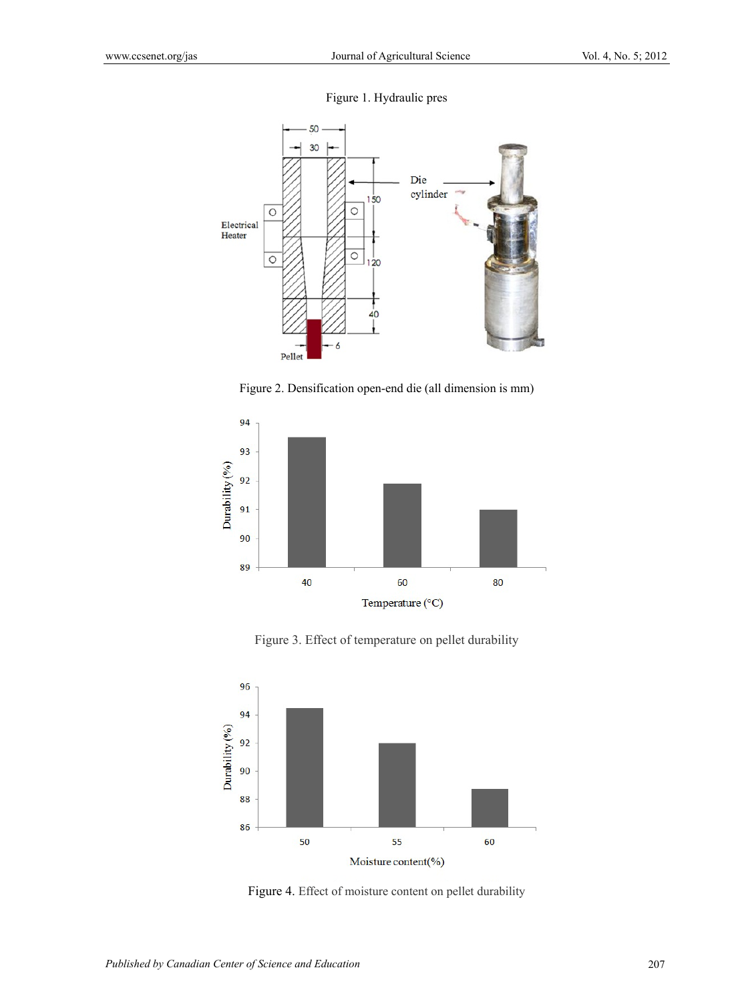



Figure 2. Densification open-end die (all dimension is mm)



Figure 3. Effect of temperature on pellet durability



Figure 4. Effect of moisture content on pellet durability